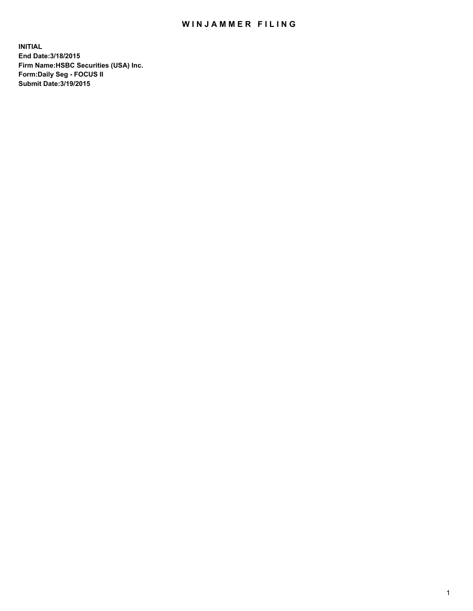## WIN JAMMER FILING

**INITIAL End Date:3/18/2015 Firm Name:HSBC Securities (USA) Inc. Form:Daily Seg - FOCUS II Submit Date:3/19/2015**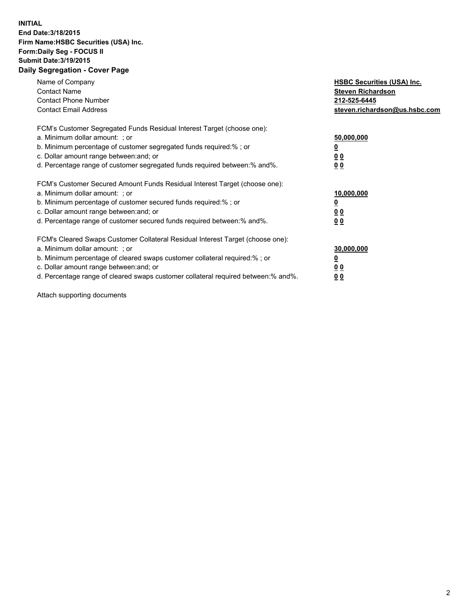## **INITIAL End Date:3/18/2015 Firm Name:HSBC Securities (USA) Inc. Form:Daily Seg - FOCUS II Submit Date:3/19/2015 Daily Segregation - Cover Page**

| Name of Company<br><b>Contact Name</b><br><b>Contact Phone Number</b><br><b>Contact Email Address</b>                                                                                                                                                                                                                         | <b>HSBC Securities (USA) Inc.</b><br><b>Steven Richardson</b><br>212-525-6445<br>steven.richardson@us.hsbc.com |
|-------------------------------------------------------------------------------------------------------------------------------------------------------------------------------------------------------------------------------------------------------------------------------------------------------------------------------|----------------------------------------------------------------------------------------------------------------|
| FCM's Customer Segregated Funds Residual Interest Target (choose one):<br>a. Minimum dollar amount: ; or<br>b. Minimum percentage of customer segregated funds required:% ; or<br>c. Dollar amount range between: and; or<br>d. Percentage range of customer segregated funds required between: % and %.                      | 50,000,000<br>0 <sub>0</sub><br>0 <sub>0</sub>                                                                 |
| FCM's Customer Secured Amount Funds Residual Interest Target (choose one):<br>a. Minimum dollar amount: ; or<br>b. Minimum percentage of customer secured funds required:%; or<br>c. Dollar amount range between: and; or<br>d. Percentage range of customer secured funds required between:% and%.                           | 10,000,000<br>0 <sub>0</sub><br>00                                                                             |
| FCM's Cleared Swaps Customer Collateral Residual Interest Target (choose one):<br>a. Minimum dollar amount: ; or<br>b. Minimum percentage of cleared swaps customer collateral required:%; or<br>c. Dollar amount range between: and; or<br>d. Percentage range of cleared swaps customer collateral required between:% and%. | 30,000,000<br>0 <sub>0</sub><br>00                                                                             |

Attach supporting documents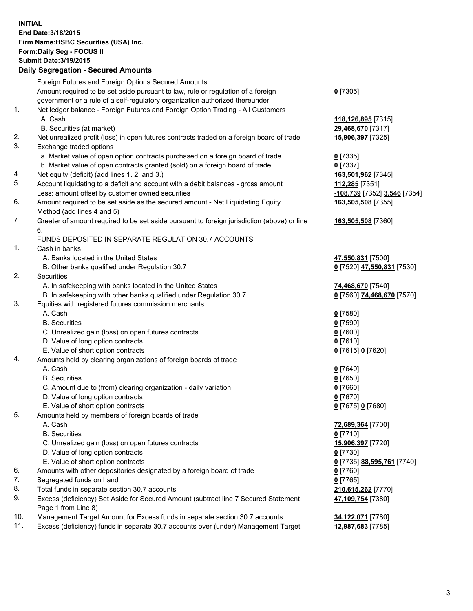**INITIAL End Date:3/18/2015 Firm Name:HSBC Securities (USA) Inc. Form:Daily Seg - FOCUS II Submit Date:3/19/2015 Daily Segregation - Secured Amounts**

Foreign Futures and Foreign Options Secured Amounts Amount required to be set aside pursuant to law, rule or regulation of a foreign government or a rule of a self-regulatory organization authorized thereunder **0** [7305] 1. Net ledger balance - Foreign Futures and Foreign Option Trading - All Customers A. Cash **118,126,895** [7315] B. Securities (at market) **29,468,670** [7317] 2. Net unrealized profit (loss) in open futures contracts traded on a foreign board of trade **15,906,397** [7325] 3. Exchange traded options a. Market value of open option contracts purchased on a foreign board of trade **0** [7335] b. Market value of open contracts granted (sold) on a foreign board of trade **0** [7337] 4. Net equity (deficit) (add lines 1. 2. and 3.) **163,501,962** [7345] 5. Account liquidating to a deficit and account with a debit balances - gross amount **112,285** [7351] Less: amount offset by customer owned securities **-108,739** [7352] **3,546** [7354] 6. Amount required to be set aside as the secured amount - Net Liquidating Equity Method (add lines 4 and 5) **163,505,508** [7355] 7. Greater of amount required to be set aside pursuant to foreign jurisdiction (above) or line 6. **163,505,508** [7360] FUNDS DEPOSITED IN SEPARATE REGULATION 30.7 ACCOUNTS 1. Cash in banks A. Banks located in the United States **47,550,831** [7500] B. Other banks qualified under Regulation 30.7 **0** [7520] **47,550,831** [7530] 2. Securities A. In safekeeping with banks located in the United States **74,468,670** [7540] B. In safekeeping with other banks qualified under Regulation 30.7 **0** [7560] **74,468,670** [7570] 3. Equities with registered futures commission merchants A. Cash **0** [7580] B. Securities **0** [7590] C. Unrealized gain (loss) on open futures contracts **0** [7600] D. Value of long option contracts **0** [7610] E. Value of short option contracts **0** [7615] **0** [7620] 4. Amounts held by clearing organizations of foreign boards of trade A. Cash **0** [7640] B. Securities **0** [7650] C. Amount due to (from) clearing organization - daily variation **0** [7660] D. Value of long option contracts **0** [7670] E. Value of short option contracts **0** [7675] **0** [7680] 5. Amounts held by members of foreign boards of trade A. Cash **72,689,364** [7700] B. Securities **0** [7710] C. Unrealized gain (loss) on open futures contracts **15,906,397** [7720] D. Value of long option contracts **0** [7730] E. Value of short option contracts **0** [7735] **88,595,761** [7740] 6. Amounts with other depositories designated by a foreign board of trade **0** [7760] 7. Segregated funds on hand **0** [7765] 8. Total funds in separate section 30.7 accounts **210,615,262** [7770] 9. Excess (deficiency) Set Aside for Secured Amount (subtract line 7 Secured Statement Page 1 from Line 8) **47,109,754** [7380] 10. Management Target Amount for Excess funds in separate section 30.7 accounts **34,122,071** [7780] 11. Excess (deficiency) funds in separate 30.7 accounts over (under) Management Target **12,987,683** [7785]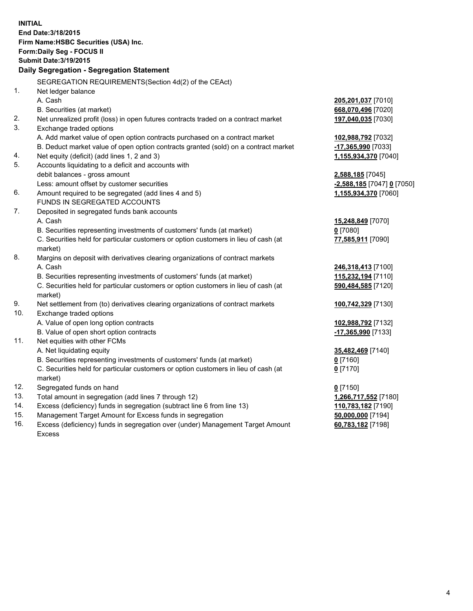| <b>INITIAL</b>                            |                                                                                     |                            |  |  |
|-------------------------------------------|-------------------------------------------------------------------------------------|----------------------------|--|--|
| End Date: 3/18/2015                       |                                                                                     |                            |  |  |
| Firm Name: HSBC Securities (USA) Inc.     |                                                                                     |                            |  |  |
| Form: Daily Seg - FOCUS II                |                                                                                     |                            |  |  |
| <b>Submit Date: 3/19/2015</b>             |                                                                                     |                            |  |  |
| Daily Segregation - Segregation Statement |                                                                                     |                            |  |  |
|                                           |                                                                                     |                            |  |  |
|                                           | SEGREGATION REQUIREMENTS(Section 4d(2) of the CEAct)                                |                            |  |  |
| 1.                                        | Net ledger balance                                                                  |                            |  |  |
|                                           | A. Cash                                                                             | 205,201,037 [7010]         |  |  |
|                                           | B. Securities (at market)                                                           | 668,070,496 [7020]         |  |  |
| 2.                                        | Net unrealized profit (loss) in open futures contracts traded on a contract market  | 197,040,035 [7030]         |  |  |
| 3.                                        | Exchange traded options                                                             |                            |  |  |
|                                           | A. Add market value of open option contracts purchased on a contract market         | 102,988,792 [7032]         |  |  |
|                                           | B. Deduct market value of open option contracts granted (sold) on a contract market | -17,365,990 [7033]         |  |  |
| 4.                                        | Net equity (deficit) (add lines 1, 2 and 3)                                         | 1,155,934,370 [7040]       |  |  |
| 5.                                        | Accounts liquidating to a deficit and accounts with                                 |                            |  |  |
|                                           | debit balances - gross amount                                                       | 2,588,185 [7045]           |  |  |
|                                           | Less: amount offset by customer securities                                          | -2,588,185 [7047] 0 [7050] |  |  |
| 6.                                        | Amount required to be segregated (add lines 4 and 5)                                | 1,155,934,370 [7060]       |  |  |
|                                           | FUNDS IN SEGREGATED ACCOUNTS                                                        |                            |  |  |
| 7.                                        | Deposited in segregated funds bank accounts                                         |                            |  |  |
|                                           | A. Cash                                                                             | 15,248,849 [7070]          |  |  |
|                                           | B. Securities representing investments of customers' funds (at market)              | $0$ [7080]                 |  |  |
|                                           | C. Securities held for particular customers or option customers in lieu of cash (at | 77,585,911 [7090]          |  |  |
|                                           | market)                                                                             |                            |  |  |
| 8.                                        | Margins on deposit with derivatives clearing organizations of contract markets      |                            |  |  |
|                                           | A. Cash                                                                             | 246,318,413 [7100]         |  |  |
|                                           | B. Securities representing investments of customers' funds (at market)              | 115,232,194 [7110]         |  |  |
|                                           | C. Securities held for particular customers or option customers in lieu of cash (at | 590,484,585 [7120]         |  |  |
|                                           | market)                                                                             |                            |  |  |
| 9.                                        | Net settlement from (to) derivatives clearing organizations of contract markets     | 100,742,329 [7130]         |  |  |
| 10.                                       | Exchange traded options                                                             |                            |  |  |
|                                           | A. Value of open long option contracts                                              | 102,988,792 [7132]         |  |  |
|                                           | B. Value of open short option contracts                                             | 17,365,990 [7133]          |  |  |
| 11.                                       | Net equities with other FCMs                                                        |                            |  |  |
|                                           | A. Net liquidating equity                                                           | 35,482,469 [7140]          |  |  |
|                                           | B. Securities representing investments of customers' funds (at market)              | 0 [7160]                   |  |  |
|                                           | C. Securities held for particular customers or option customers in lieu of cash (at | $0$ [7170]                 |  |  |
|                                           | market)                                                                             |                            |  |  |
| 12.                                       | Segregated funds on hand                                                            | $0$ [7150]                 |  |  |
| 13.                                       | Total amount in segregation (add lines 7 through 12)                                | 1,266,717,552 [7180]       |  |  |
| 14.                                       | Excess (deficiency) funds in segregation (subtract line 6 from line 13)             | 110,783,182 [7190]         |  |  |
| 15.                                       | Management Target Amount for Excess funds in segregation                            | 50,000,000 [7194]          |  |  |
| 16.                                       | Excess (deficiency) funds in segregation over (under) Management Target Amount      | 60,783,182 [7198]          |  |  |
|                                           | Excess                                                                              |                            |  |  |